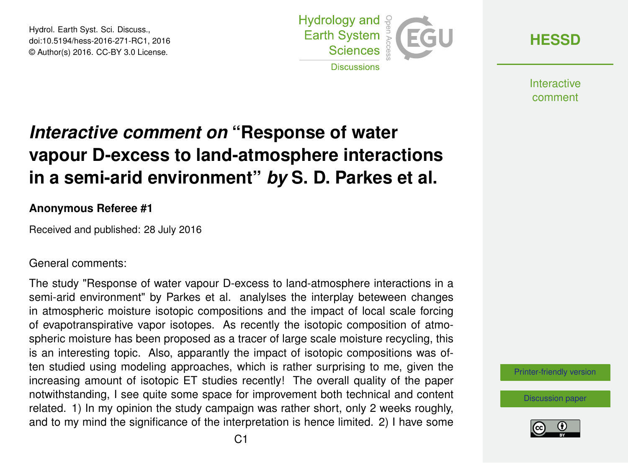Hydrol. Earth Syst. Sci. Discuss., doi:10.5194/hess-2016-271-RC1, 2016 © Author(s) 2016. CC-BY 3.0 License.



**[HESSD](http://www.hydrol-earth-syst-sci-discuss.net/)**

**Interactive** comment

## *Interactive comment on* **"Response of water vapour D-excess to land-atmosphere interactions in a semi-arid environment"** *by* **S. D. Parkes et al.**

## **Anonymous Referee #1**

Received and published: 28 July 2016

## General comments:

The study "Response of water vapour D-excess to land-atmosphere interactions in a semi-arid environment" by Parkes et al. analylses the interplay beteween changes in atmospheric moisture isotopic compositions and the impact of local scale forcing of evapotranspirative vapor isotopes. As recently the isotopic composition of atmospheric moisture has been proposed as a tracer of large scale moisture recycling, this is an interesting topic. Also, apparantly the impact of isotopic compositions was often studied using modeling approaches, which is rather surprising to me, given the increasing amount of isotopic ET studies recently! The overall quality of the paper notwithstanding, I see quite some space for improvement both technical and content related. 1) In my opinion the study campaign was rather short, only 2 weeks roughly, and to my mind the significance of the interpretation is hence limited. 2) I have some

[Printer-friendly version](http://www.hydrol-earth-syst-sci-discuss.net/hess-2016-271/hess-2016-271-RC1-print.pdf)

[Discussion paper](http://www.hydrol-earth-syst-sci-discuss.net/hess-2016-271)

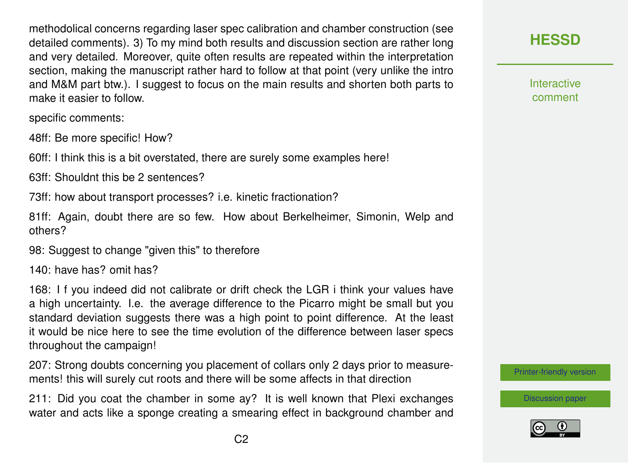methodolical concerns regarding laser spec calibration and chamber construction (see detailed comments). 3) To my mind both results and discussion section are rather long and very detailed. Moreover, quite often results are repeated within the interpretation section, making the manuscript rather hard to follow at that point (very unlike the intro and M&M part btw.). I suggest to focus on the main results and shorten both parts to make it easier to follow.

specific comments:

48ff: Be more specific! How?

60ff: I think this is a bit overstated, there are surely some examples here!

63ff: Shouldnt this be 2 sentences?

73ff: how about transport processes? i.e. kinetic fractionation?

81ff: Again, doubt there are so few. How about Berkelheimer, Simonin, Welp and others?

98: Suggest to change "given this" to therefore

140: have has? omit has?

168: I f you indeed did not calibrate or drift check the LGR i think your values have a high uncertainty. I.e. the average difference to the Picarro might be small but you standard deviation suggests there was a high point to point difference. At the least it would be nice here to see the time evolution of the difference between laser specs throughout the campaign!

207: Strong doubts concerning you placement of collars only 2 days prior to measurements! this will surely cut roots and there will be some affects in that direction

211: Did you coat the chamber in some ay? It is well known that Plexi exchanges water and acts like a sponge creating a smearing effect in background chamber and



**Interactive** comment

[Printer-friendly version](http://www.hydrol-earth-syst-sci-discuss.net/hess-2016-271/hess-2016-271-RC1-print.pdf)

[Discussion paper](http://www.hydrol-earth-syst-sci-discuss.net/hess-2016-271)